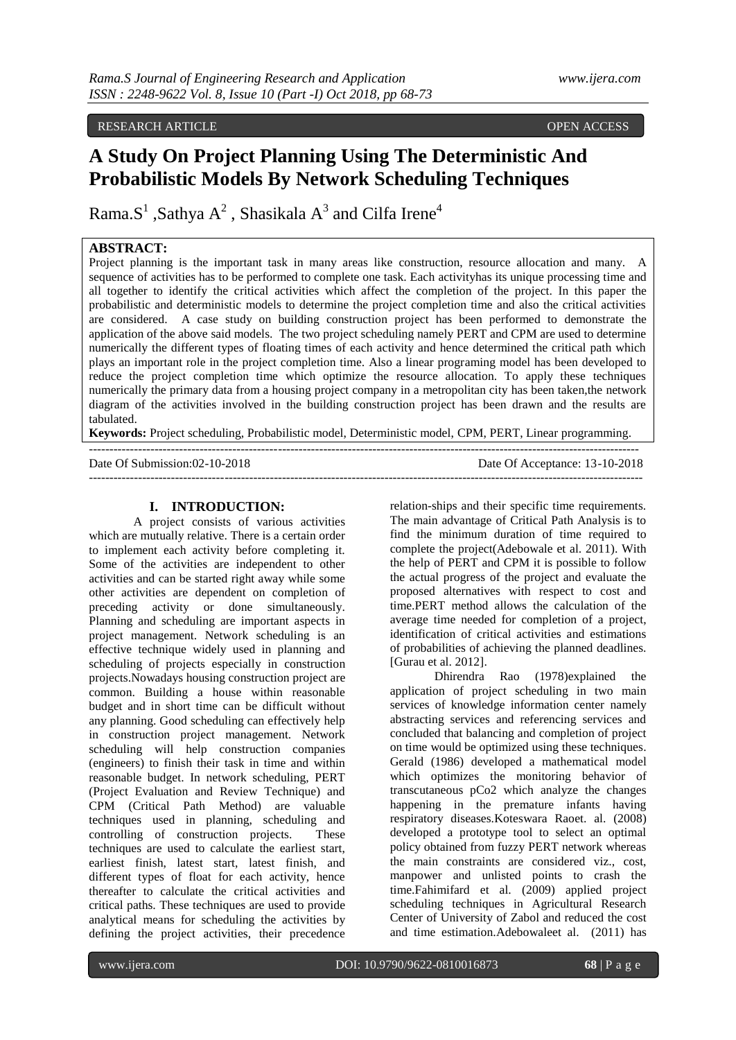RESEARCH ARTICLE OPEN ACCESS

# **A Study On Project Planning Using The Deterministic And Probabilistic Models By Network Scheduling Techniques**

Rama.S<sup>1</sup> ,Sathya A<sup>2</sup> , Shasikala A<sup>3</sup> and Cilfa Irene<sup>4</sup>

## **ABSTRACT:**

Project planning is the important task in many areas like construction, resource allocation and many. A sequence of activities has to be performed to complete one task. Each activityhas its unique processing time and all together to identify the critical activities which affect the completion of the project. In this paper the probabilistic and deterministic models to determine the project completion time and also the critical activities are considered. A case study on building construction project has been performed to demonstrate the application of the above said models. The two project scheduling namely PERT and CPM are used to determine numerically the different types of floating times of each activity and hence determined the critical path which plays an important role in the project completion time. Also a linear programing model has been developed to reduce the project completion time which optimize the resource allocation. To apply these techniques numerically the primary data from a housing project company in a metropolitan city has been taken, the network diagram of the activities involved in the building construction project has been drawn and the results are tabulated.

**Keywords:** Project scheduling, Probabilistic model, Deterministic model, CPM, PERT, Linear programming. --------------------------------------------------------------------------------------------------------------------------------------

Date Of Submission:02-10-2018 Date Of Acceptance: 13-10-2018 ---------------------------------------------------------------------------------------------------------------------------------------

## **I. INTRODUCTION:**

A project consists of various activities which are mutually relative. There is a certain order to implement each activity before completing it. Some of the activities are independent to other activities and can be started right away while some other activities are dependent on completion of preceding activity or done simultaneously. Planning and scheduling are important aspects in project management. Network scheduling is an effective technique widely used in planning and scheduling of projects especially in construction projects.Nowadays housing construction project are common. Building a house within reasonable budget and in short time can be difficult without any planning. Good scheduling can effectively help in construction project management. Network scheduling will help construction companies (engineers) to finish their task in time and within reasonable budget. In network scheduling, PERT (Project Evaluation and Review Technique) and CPM (Critical Path Method) are valuable techniques used in planning, scheduling and controlling of construction projects. These techniques are used to calculate the earliest start, earliest finish, latest start, latest finish, and different types of float for each activity, hence thereafter to calculate the critical activities and critical paths. These techniques are used to provide analytical means for scheduling the activities by defining the project activities, their precedence

relation-ships and their specific time requirements. The main advantage of Critical Path Analysis is to find the minimum duration of time required to complete the project(Adebowale et al. 2011). With the help of PERT and CPM it is possible to follow the actual progress of the project and evaluate the proposed alternatives with respect to cost and time.PERT method allows the calculation of the average time needed for completion of a project, identification of critical activities and estimations of probabilities of achieving the planned deadlines. [Gurau et al. 2012].

Dhirendra Rao (1978)explained the application of project scheduling in two main services of knowledge information center namely abstracting services and referencing services and concluded that balancing and completion of project on time would be optimized using these techniques. Gerald (1986) developed a mathematical model which optimizes the monitoring behavior of transcutaneous pCo2 which analyze the changes happening in the premature infants having respiratory diseases.Koteswara Raoet. al. (2008) developed a prototype tool to select an optimal policy obtained from fuzzy PERT network whereas the main constraints are considered viz., cost, manpower and unlisted points to crash the time.Fahimifard et al. (2009) applied project scheduling techniques in Agricultural Research Center of University of Zabol and reduced the cost and time estimation.Adebowaleet al. (2011) has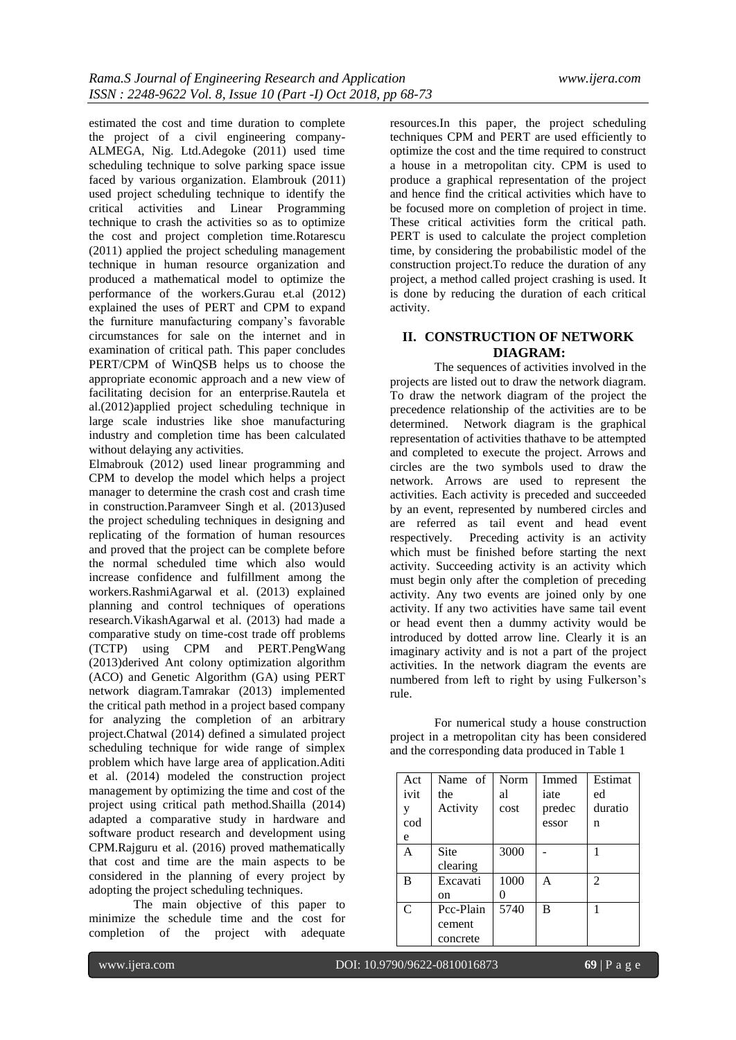estimated the cost and time duration to complete the project of a civil engineering company-ALMEGA, Nig. Ltd.Adegoke (2011) used time scheduling technique to solve parking space issue faced by various organization. Elambrouk (2011) used project scheduling technique to identify the critical activities and Linear Programming technique to crash the activities so as to optimize the cost and project completion time.Rotarescu (2011) applied the project scheduling management technique in human resource organization and produced a mathematical model to optimize the performance of the workers.Gurau et.al (2012) explained the uses of PERT and CPM to expand the furniture manufacturing company's favorable circumstances for sale on the internet and in examination of critical path. This paper concludes PERT/CPM of WinQSB helps us to choose the appropriate economic approach and a new view of facilitating decision for an enterprise.Rautela et al.(2012)applied project scheduling technique in large scale industries like shoe manufacturing industry and completion time has been calculated without delaying any activities.

Elmabrouk (2012) used linear programming and CPM to develop the model which helps a project manager to determine the crash cost and crash time in construction.Paramveer Singh et al. (2013)used the project scheduling techniques in designing and replicating of the formation of human resources and proved that the project can be complete before the normal scheduled time which also would increase confidence and fulfillment among the workers.RashmiAgarwal et al. (2013) explained planning and control techniques of operations research.VikashAgarwal et al. (2013) had made a comparative study on time-cost trade off problems (TCTP) using CPM and PERT.PengWang (2013)derived Ant colony optimization algorithm (ACO) and Genetic Algorithm (GA) using PERT network diagram.Tamrakar (2013) implemented the critical path method in a project based company for analyzing the completion of an arbitrary project.Chatwal (2014) defined a simulated project scheduling technique for wide range of simplex problem which have large area of application.Aditi et al. (2014) modeled the construction project management by optimizing the time and cost of the project using critical path method.Shailla (2014) adapted a comparative study in hardware and software product research and development using CPM.Rajguru et al. (2016) proved mathematically that cost and time are the main aspects to be considered in the planning of every project by adopting the project scheduling techniques.

The main objective of this paper to minimize the schedule time and the cost for completion of the project with adequate

resources.In this paper, the project scheduling techniques CPM and PERT are used efficiently to optimize the cost and the time required to construct a house in a metropolitan city. CPM is used to produce a graphical representation of the project and hence find the critical activities which have to be focused more on completion of project in time. These critical activities form the critical path. PERT is used to calculate the project completion time, by considering the probabilistic model of the construction project.To reduce the duration of any project, a method called project crashing is used. It is done by reducing the duration of each critical activity.

# **II. CONSTRUCTION OF NETWORK DIAGRAM:**

The sequences of activities involved in the projects are listed out to draw the network diagram. To draw the network diagram of the project the precedence relationship of the activities are to be determined. Network diagram is the graphical representation of activities thathave to be attempted and completed to execute the project. Arrows and circles are the two symbols used to draw the network. Arrows are used to represent the activities. Each activity is preceded and succeeded by an event, represented by numbered circles and are referred as tail event and head event respectively. Preceding activity is an activity which must be finished before starting the next activity. Succeeding activity is an activity which must begin only after the completion of preceding activity. Any two events are joined only by one activity. If any two activities have same tail event or head event then a dummy activity would be introduced by dotted arrow line. Clearly it is an imaginary activity and is not a part of the project activities. In the network diagram the events are numbered from left to right by using Fulkerson's rule.

For numerical study a house construction project in a metropolitan city has been considered and the corresponding data produced in Table 1

| Act  | Name of   | Norm | Immed  | Estimat        |
|------|-----------|------|--------|----------------|
| ivit | the       | al   | iate   | ed             |
| y    | Activity  | cost | predec | duratio        |
| cod  |           |      | essor  | n              |
| e    |           |      |        |                |
| A    | Site      | 3000 |        |                |
|      | clearing  |      |        |                |
| B    | Excavati  | 1000 | A      | $\mathfrak{D}$ |
|      | on        |      |        |                |
| C    | Pcc-Plain | 5740 | B      |                |
|      | cement    |      |        |                |
|      | concrete  |      |        |                |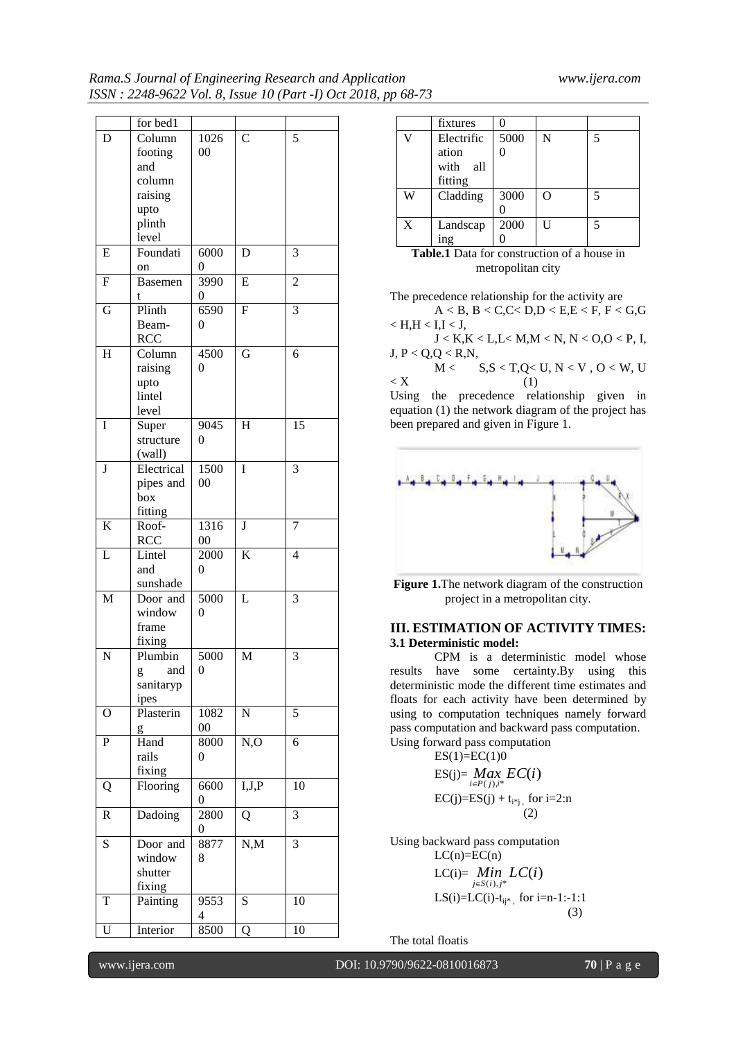|                    | for bed1       |                |                         |                 |
|--------------------|----------------|----------------|-------------------------|-----------------|
| D                  | Column         | 1026           | $\bar{\text{C}}$        | 5               |
|                    | footing        | 00             |                         |                 |
|                    | and            |                |                         |                 |
|                    | column         |                |                         |                 |
|                    |                |                |                         |                 |
|                    | raising        |                |                         |                 |
|                    | upto           |                |                         |                 |
|                    | plinth         |                |                         |                 |
|                    | level          |                |                         |                 |
| E                  | Foundati       | 6000           | D                       | 3               |
|                    | on             | 0              |                         |                 |
| F                  | <b>Basemen</b> | 3990           | E                       | $\overline{c}$  |
|                    | t              | 0              |                         |                 |
| G                  | Plinth         | 6590           | $\overline{\mathrm{F}}$ | 3               |
|                    | Beam-          | $\overline{0}$ |                         |                 |
|                    | <b>RCC</b>     |                |                         |                 |
| H                  | Column         | 4500           | G                       | 6               |
|                    | raising        | 0              |                         |                 |
|                    | upto           |                |                         |                 |
|                    | lintel         |                |                         |                 |
|                    | level          |                |                         |                 |
| I                  | Super          | 9045           | H                       | $\overline{15}$ |
|                    |                | $\theta$       |                         |                 |
|                    | structure      |                |                         |                 |
|                    | (wall)         |                |                         |                 |
| $\bf J$            | Electrical     | 1500           | I                       | 3               |
|                    | pipes and      | $00\,$         |                         |                 |
|                    | box            |                |                         |                 |
|                    | fitting        |                |                         |                 |
| K                  | Roof-          | 1316           | J                       | 7               |
|                    | <b>RCC</b>     | $00\,$         |                         |                 |
| L                  | Lintel         | 2000           | $\bf K$                 | 4               |
|                    | and            | $\overline{0}$ |                         |                 |
|                    | sunshade       |                |                         |                 |
| M                  | Door and       | 5000           | L                       | 3               |
|                    | window         | $\overline{0}$ |                         |                 |
|                    | frame          |                |                         |                 |
|                    | fixing         |                |                         |                 |
| $\overline{\bf N}$ | Plumbin        | 5000           | M                       | 3               |
|                    | and            | 0              |                         |                 |
|                    | g<br>sanitaryp |                |                         |                 |
|                    |                |                |                         |                 |
|                    | ipes           |                |                         |                 |
| O                  | Plasterin      | 1082           | N                       | 5               |
|                    | g              | $00\,$         |                         |                 |
| ${\bf P}$          | Hand           | 8000           | N, O                    | 6               |
|                    | rails          | $\overline{0}$ |                         |                 |
|                    | fixing         |                |                         |                 |
| Q                  | Flooring       | 6600           | I,J,P                   | 10              |
|                    |                | 0              |                         |                 |
| R                  | Dadoing        | 2800           | Q                       | 3               |
|                    |                | 0              |                         |                 |
| ${\bf S}$          | Door and       | 8877           | N, M                    | 3               |
|                    | window         | 8              |                         |                 |
|                    | shutter        |                |                         |                 |
|                    | fixing         |                |                         |                 |
| T                  |                | 9553           | $\overline{\mathbf{S}}$ | 10              |
|                    | Painting       |                |                         |                 |
|                    |                | 4              |                         |                 |
| Ū                  | Interior       | 8500           | Q                       | 10              |

|   | fixtures                                           | ∩    |   |   |
|---|----------------------------------------------------|------|---|---|
| V | Electrific                                         | 5000 | N | 5 |
|   | ation                                              |      |   |   |
|   | with<br>-all                                       |      |   |   |
|   | fitting                                            |      |   |   |
| W | Cladding                                           | 3000 | ∩ | 5 |
|   |                                                    |      |   |   |
| X | Landscap                                           | 2000 | H | 5 |
|   | 1ng                                                |      |   |   |
|   | <b>Table.1</b> Data for construction of a house in |      |   |   |

metropolitan city

The precedence relationship for the activity are A < B, B < C,C< D,D < E,E < F, F < G,G  $<$  H,H $<$  I,I $<$  J, J < K,K < L,L< M,M < N, N < O,O < P, I, J, P < Q,Q < R,N,  $M <$   $S, S < T, Q < U, N < V, O < W, U$  $\langle X \rangle$  (1)

Using the precedence relationship given in equation (1) the network diagram of the project has been prepared and given in Figure 1.



**Figure 1.**The network diagram of the construction project in a metropolitan city.

# **III. ESTIMATION OF ACTIVITY TIMES: 3.1 Deterministic model:**

CPM is a deterministic model whose results have some certainty.By using this deterministic mode the different time estimates and floats for each activity have been determined by using to computation techniques namely forward pass computation and backward pass computation. Using forward pass computation

 $ES(1)=EC(1)0$ 

ES(j)= 
$$
\underset{i \in P(j), i^*}{Max} EC(i)
$$
  
EC(j)=ES(j) + t<sub>i\*j</sub>, for i=2:n  
(2)

Using backward pass computation  $LC(n)=EC(n)$ 

LC(i)= 
$$
\lim_{j \in S(i), j^*} LC(i)
$$
  
\nLS(i)=LC(i)-t<sub>ij\*</sub>, for i=n-1:-1:1  
\n(3)

The total floatis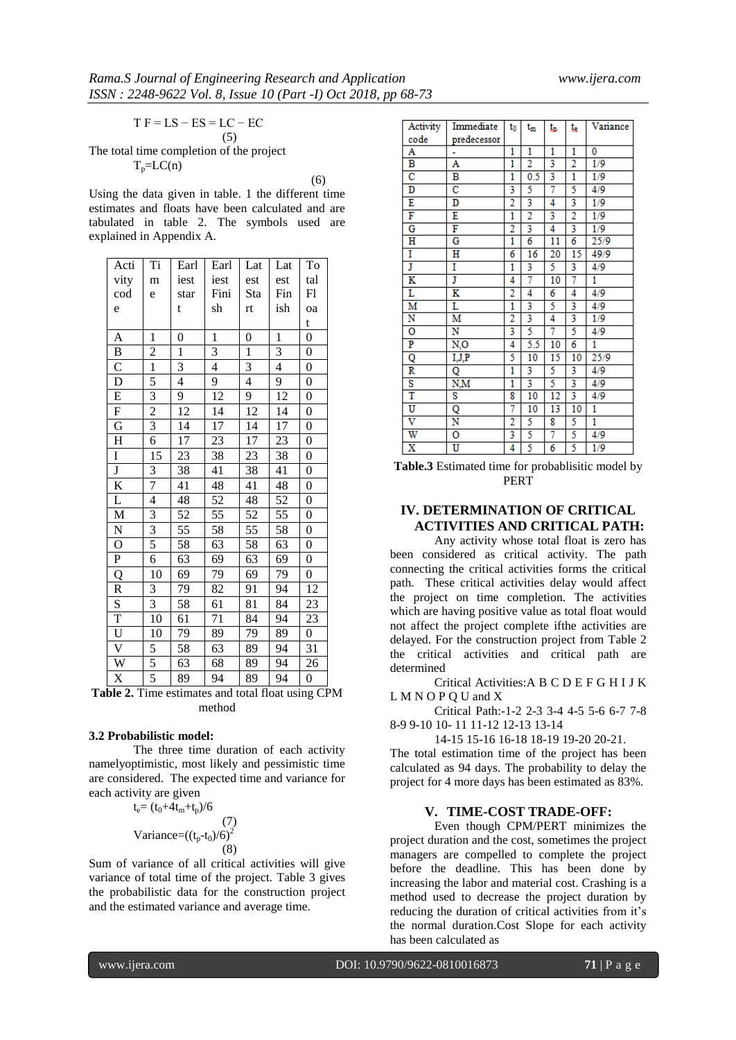$T F = LS - ES = LC - EC$ (5)

The total time completion of the project  $T_p = LC(n)$ 

(6) Using the data given in table. 1 the different time estimates and floats have been calculated and are tabulated in table 2. The symbols used are explained in Appendix A.

| Acti                    | Ti                      | Earl                     | Earl         | Lat            | Lat            | To               |
|-------------------------|-------------------------|--------------------------|--------------|----------------|----------------|------------------|
| vity                    | m                       | iest                     | iest         | est            | est            | tal              |
| cod                     | e                       | star                     | Fini         | Sta            | Fin            | Fl               |
| e                       |                         | t                        | sh           | rt             | ish            | oa               |
|                         |                         |                          |              |                |                | t                |
| A                       | $\mathbf{1}$            | $\overline{0}$           | $\mathbf{1}$ | $\overline{0}$ | $\mathbf{1}$   | $\boldsymbol{0}$ |
| B                       | $\overline{c}$          | $\mathbf{1}$             | 3            | $\mathbf{1}$   | 3              | $\boldsymbol{0}$ |
| $\overline{C}$          | $\mathbf{1}$            | 3                        | 4            | 3              | $\overline{4}$ | $\overline{0}$   |
| D                       | 5                       | $\overline{\mathcal{L}}$ | 9            | $\overline{4}$ | 9              | $\boldsymbol{0}$ |
| E                       | $\overline{\mathbf{3}}$ | 9                        | 12           | 9              | 12             | $\boldsymbol{0}$ |
| F                       | $\overline{c}$          | 12                       | 14           | 12             | 14             | $\boldsymbol{0}$ |
| G                       | $\overline{\mathbf{3}}$ | 14                       | 17           | 14             | 17             | $\boldsymbol{0}$ |
| $H_{\rm}$               | 6                       | 17                       | 23           | 17             | 23             | $\boldsymbol{0}$ |
| I                       | 15                      | 23                       | 38           | 23             | 38             | $\boldsymbol{0}$ |
| $\overline{\mathbf{J}}$ | 3                       | 38                       | 41           | 38             | 41             | $\boldsymbol{0}$ |
| K                       | 7                       | 41                       | 48           | 41             | 48             | $\boldsymbol{0}$ |
| L                       | 4                       | 48                       | 52           | 48             | 52             | $\boldsymbol{0}$ |
| $\mathbf{M}$            | 3                       | 52                       | 55           | 52             | 55             | $\overline{0}$   |
| $\mathbf N$             | $\overline{3}$          | 55                       | 58           | 55             | 58             | $\boldsymbol{0}$ |
| $\mathbf O$             | 5                       | 58                       | 63           | 58             | 63             | $\boldsymbol{0}$ |
| ${\bf P}$               | 6                       | 63                       | 69           | 63             | 69             | $\boldsymbol{0}$ |
| Q                       | 10                      | 69                       | 79           | 69             | 79             | $\boldsymbol{0}$ |
| ${\mathbb R}$           | 3                       | 79                       | 82           | 91             | 94             | 12               |
| S                       | 3                       | 58                       | 61           | 81             | 84             | 23               |
| T                       | 10                      | 61                       | 71           | 84             | 94             | 23               |
| U                       | 10                      | 79                       | 89           | 79             | 89             | $\boldsymbol{0}$ |
| $\overline{\mathsf{V}}$ | 5                       | 58                       | 63           | 89             | 94             | 31               |
| $\overline{W}$          | 5                       | 63                       | 68           | 89             | 94             | 26               |
| X                       | 5                       | 89                       | 94           | 89             | 94             | $\boldsymbol{0}$ |

**Table 2.** Time estimates and total float using CPM method

#### **3.2 Probabilistic model:**

The three time duration of each activity namelyoptimistic, most likely and pessimistic time are considered. The expected time and variance for each activity are given

$$
t_e = (t_0 + 4t_m + t_p)/6
$$
  
(7)  
Variance =  $((t_p - t_0)/6)^2$   
(8)

Sum of variance of all critical activities will give variance of total time of the project. Table 3 gives the probabilistic data for the construction project and the estimated variance and average time.

| Activity                | Immediate             | t <sub>0</sub> | $t_m$          | ta. | te.            | Variance |
|-------------------------|-----------------------|----------------|----------------|-----|----------------|----------|
| code                    | predecessor           |                |                |     |                |          |
| A                       |                       | 1              | 1              | 1   | 1              | 0        |
| В                       | А                     | 1              | 2              | 3   | 2              | 1/9      |
| $\overline{\rm c}$      | В                     | 1              | 0.5            | 3   | 1              | 1/9      |
| D                       | $\overline{\text{c}}$ | 3              | 5              | 7   | 5              | 4/9      |
| E                       | D                     | $\overline{2}$ | 3              | 4   | 3              | 1/9      |
| F                       | E                     | 1              | $\overline{2}$ | 3   | $\overline{2}$ | 1/9      |
| G                       | F                     | $\overline{2}$ | 3              | 4   | 3              | 1/9      |
| Н                       | G                     | 1              | 6              | 11  | 6              | 25/9     |
| I                       | н                     | 6              | 16             | 20  | 15             | 49/9     |
| Ţ                       | I                     | 1              | 3              | 5   | 3              | 4/9      |
| K                       | J                     | 4              | 7              | 10  | 7              | 1        |
| Ľ                       | K                     | $\overline{2}$ | 4              | 6   | 4              | 4/9      |
| M                       | L                     | 1              | 3              | 5   | 3              | 4/9      |
| N                       | Μ                     | 2              | 3              | 4   | 3              | 1/9      |
| 0                       | N                     | 3              | 5              | 7   | 5              | 4/9      |
| P                       | N,O                   | 4              | 5.5            | 10  | 6              | 1        |
| Q                       | <u>I,J,P</u>          | 5              | 10             | 15  | 10             | 25/9     |
| R                       | Q                     | 1              | 3              | 5   | 3              | 4/9      |
| S                       | $N_\gamma M$          | 1              | 3              | 5   | 3              | 4/9      |
| T                       | S                     | 8              | 10             | 12  | 3              | 4/9      |
| U                       | Q                     | 7              | 10             | 13  | 10             | 1        |
| $\overline{\text{v}}$   | N                     | 2              | 5              | 8   | 5              | 1        |
| W                       | o                     | 3              | 5              | 7   | 5              | 4/9      |
| $\overline{\textbf{x}}$ | Ū                     | 4              | 5              | 6   | 5              | 1/9      |

**Table.3** Estimated time for probablisitic model by PERT

# **IV. DETERMINATION OF CRITICAL ACTIVITIES AND CRITICAL PATH:**

Any activity whose total float is zero has been considered as critical activity. The path connecting the critical activities forms the critical path. These critical activities delay would affect the project on time completion. The activities which are having positive value as total float would not affect the project complete ifthe activities are delayed. For the construction project from Table 2 the critical activities and critical path are determined

Critical Activities:A B C D E F G H I J K L M N O P Q U and X

Critical Path:-1-2 2-3 3-4 4-5 5-6 6-7 7-8 8-9 9-10 10- 11 11-12 12-13 13-14

14-15 15-16 16-18 18-19 19-20 20-21.

The total estimation time of the project has been calculated as 94 days. The probability to delay the project for 4 more days has been estimated as 83%.

#### **V. TIME-COST TRADE-OFF:**

Even though CPM/PERT minimizes the project duration and the cost, sometimes the project managers are compelled to complete the project before the deadline. This has been done by increasing the labor and material cost. Crashing is a method used to decrease the project duration by reducing the duration of critical activities from it's the normal duration.Cost Slope for each activity has been calculated as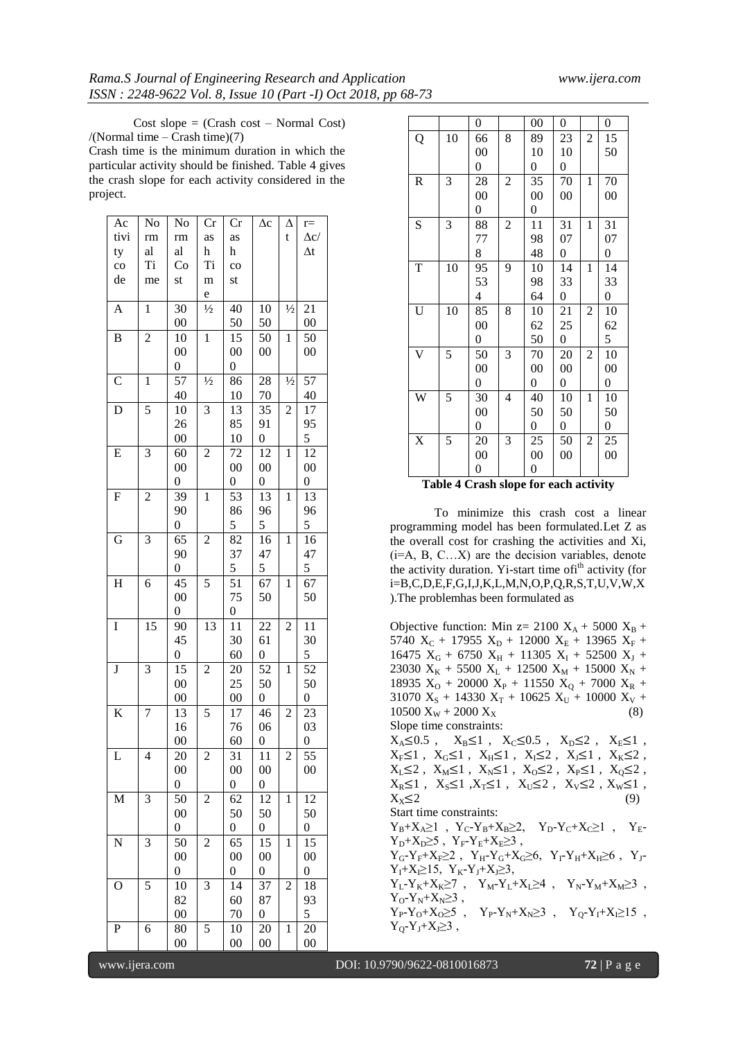Cost slope  $=$  (Crash cost – Normal Cost) /(Normal time – Crash time)(7)

Crash time is the minimum duration in which the particular activity should be finished. Table 4 gives the crash slope for each activity considered in the project.

| Ac                      | No             | No               | Cr                      | Cr               | $\Delta c$       | Δ              | $r =$             |
|-------------------------|----------------|------------------|-------------------------|------------------|------------------|----------------|-------------------|
| tivi                    | rm             | rm               | as                      | as               |                  | t              | $\Delta \rm{c} /$ |
| ty                      | al             | al               | h                       | h                |                  |                | $\Delta t$        |
| $_{\rm co}$             | Ti             | Co               | <b>Ti</b>               | $\rm{co}$        |                  |                |                   |
| de                      | me             | st               | m                       | st               |                  |                |                   |
|                         |                |                  | e                       |                  |                  |                |                   |
| $\overline{A}$          | $\mathbf{1}$   | 30               | $\frac{1}{2}$           | 40               | 10               | $\frac{1}{2}$  | 21                |
|                         |                | $00\,$           |                         | 50               | 50               |                | $00\,$            |
| $\bf{B}$                | $\overline{c}$ | 10               | $\mathbf{1}$            | 15               | 50               | $\mathbf{1}$   | 50                |
|                         |                | $00\,$           |                         | $00\,$           | $00\,$           |                | $00\,$            |
|                         |                | $\boldsymbol{0}$ |                         | 0                |                  |                |                   |
| $\mathbf C$             | $\mathbf{1}$   | 57               | $\frac{1}{2}$           | 86               | 28               | $\frac{1}{2}$  | $\overline{57}$   |
|                         |                | 40               |                         | 10               | 70               |                | 40                |
| D                       | 5              | 10               | 3                       | 13               | $\overline{35}$  | $\overline{c}$ | 17                |
|                         |                | 26               |                         | 85               | 91               |                | 95                |
|                         |                | $00\,$           |                         | 10               | $\overline{0}$   |                | 5                 |
| E                       | 3              | 60               | $\overline{c}$          | 72               | 12               | 1              | 12                |
|                         |                | $00\,$           |                         | $00\,$           | 00               |                | $00\,$            |
|                         |                | $\boldsymbol{0}$ |                         | 0                | 0                |                | 0                 |
| F                       | $\overline{c}$ | 39               | $\mathbf{1}$            | 53               | 13               | $\mathbf{1}$   | 13                |
|                         |                | 90               |                         | 86               | 96               |                | 96                |
|                         |                | $\boldsymbol{0}$ |                         | 5                | 5                |                | 5                 |
| $\overline{\mathrm{G}}$ | 3              | 65               | $\overline{c}$          | 82               | 16               | $\mathbf{1}$   | 16                |
|                         |                | 90               |                         | 37               | 47               |                | 47                |
|                         |                | $\boldsymbol{0}$ |                         | 5                | 5                |                | 5                 |
| $\mathbf H$             | 6              | 45               | 5                       | 51               | 67               | 1              | 67                |
|                         |                | $00\,$           |                         | 75               | 50               |                | 50                |
|                         |                | 0                |                         | 0                |                  |                |                   |
| $\mathbf I$             | 15             | 90               | 13                      | 11               | 22               | $\overline{c}$ | 11                |
|                         |                | 45               |                         | 30               | 61               |                | 30                |
|                         |                | 0                |                         | 60               | $\boldsymbol{0}$ |                | 5                 |
| $\bf J$                 | 3              | 15               | 2                       | 20               | 52               | $\mathbf{1}$   | 52                |
|                         |                | $00\,$           |                         | 25               | 50               |                | 50                |
|                         |                | $00\,$           |                         | $00\,$           | $\boldsymbol{0}$ |                | $\boldsymbol{0}$  |
| K                       | 7              | 13               | 5                       | 17               | 46               | $\overline{c}$ | 23                |
|                         |                | 16               |                         | 76               | 06               |                | 03                |
|                         |                | $00\,$           |                         | 60               | $\boldsymbol{0}$ |                | $\boldsymbol{0}$  |
| L                       | 4              | 20               | $\overline{\mathbf{c}}$ | 31               | 11               | $\overline{c}$ | 55                |
|                         |                | 00               |                         | $00\,$           | 00               |                | $00\,$            |
|                         |                | 0                |                         | 0                | 0                |                |                   |
| M                       | 3              | 50               | 2                       | 62               | 12               | $\mathbf{1}$   | $1\overline{2}$   |
|                         |                | $00\,$           |                         | 50               | 50               |                | 50                |
|                         |                | 0                |                         | $\boldsymbol{0}$ | 0                |                | $\boldsymbol{0}$  |
| N                       | 3              | 50               | 2                       | 65               | 15               | 1              | 15                |
|                         |                | $00\,$           |                         | $00\,$           | $00\,$           |                | $00\,$            |
|                         |                | 0                |                         | 0                | 0                |                | 0                 |
| O                       | 5              | 10               | 3                       | 14               | 37               | $\overline{c}$ | 18                |
|                         |                | 82               |                         | 60               | 87               |                | 93                |
|                         |                | $00\,$           |                         | 70               | 0                |                | 5                 |
| $\mathbf P$             | 6              | 80               | 5                       | 10               | 20               | 1              | 20                |
|                         |                | $00\,$           |                         | $\overline{00}$  | $00\,$           |                | $00\,$            |
|                         |                |                  |                         |                  |                  |                |                   |

|               |                       | 0                |                | $00\,$           | 0                |                | 0                |
|---------------|-----------------------|------------------|----------------|------------------|------------------|----------------|------------------|
| Q             | 10                    | 66               | 8              | 89               | 23               | $\overline{c}$ | 15               |
|               |                       | $00\,$           |                | 10               | 10               |                | 50               |
|               |                       | 0                |                | $\boldsymbol{0}$ | $\boldsymbol{0}$ |                |                  |
| ${\mathbb R}$ | 3                     | 28               | $\overline{c}$ | 35               | 70               | $\mathbf{1}$   | 70               |
|               |                       | $00\,$           |                | $00\,$           | $00\,$           |                | $00\,$           |
|               |                       | $\boldsymbol{0}$ |                | $\boldsymbol{0}$ |                  |                |                  |
| S             | 3                     | 88               | $\overline{c}$ | 11               | 31               | $\mathbf{1}$   | 31               |
|               |                       | 77               |                | 98               | 07               |                | 07               |
|               |                       | 8                |                | 48               | 0                |                | $\boldsymbol{0}$ |
| T             | 10                    | 95               | 9              | 10               | 14               | 1              | 14               |
|               |                       | 53               |                | 98               | 33               |                | 33               |
|               |                       | 4                |                | 64               | 0                |                | 0                |
| U             | 10                    | 85               | 8              | 10               | 21               | $\overline{c}$ | 10               |
|               |                       | $00\,$           |                | 62               | 25               |                | 62               |
|               |                       | $\boldsymbol{0}$ |                | 50               | $\boldsymbol{0}$ |                | 5                |
| V             | 5                     | 50               | 3              | 70               | 20               | $\overline{c}$ | 10               |
|               |                       | $00\,$           |                | $00\,$           | $00\,$           |                | $00\,$           |
|               |                       | $\overline{0}$   |                | $\boldsymbol{0}$ | $\boldsymbol{0}$ |                | $\boldsymbol{0}$ |
| W             | 5                     | 30               | 4              | 40               | 10               | 1              | 10               |
|               |                       | $00\,$           |                | 50               | 50               |                | 50               |
|               |                       | 0                |                | $\boldsymbol{0}$ | 0                |                | 0                |
| X             | 5                     | 20               | 3              | 25               | 50               | $\overline{c}$ | 25               |
|               |                       | $00\,$           |                | $00\,$           | $00\,$           |                | $00\,$           |
|               |                       | 0                |                | $\boldsymbol{0}$ |                  |                |                  |
| m             | 1. 1.<br>$\mathbf{A}$ | $\sim$<br>٠τ.    | л.             | е.               | л.               | c.             | $\cdot$          |

| Table 4 Crash slope for each activity |
|---------------------------------------|
|---------------------------------------|

To minimize this crash cost a linear programming model has been formulated.Let Z as the overall cost for crashing the activities and Xi,  $(i=A, B, C...X)$  are the decision variables, denote the activity duration. Yi-start time ofi<sup>th</sup> activity (for i=B,C,D,E,F,G,I,J,K,L,M,N,O,P,Q,R,S,T,U,V,W,X ).The problemhas been formulated as

Objective function: Min z= 2100  $X_A$  + 5000  $X_B$  + 5740  $X_C$  + 17955  $X_D$  + 12000  $X_E$  + 13965  $X_F$  + 16475  $X_G$  + 6750  $X_H$  + 11305  $X_I$  + 52500  $X_J$  + 23030  $X_K$  + 5500  $X_L$  + 12500  $X_M$  + 15000  $X_N$  + 18935  $X_0$  + 20000  $X_P$  + 11550  $X_0$  + 7000  $X_R$  + 31070  $X_S$  + 14330  $X_T$  + 10625  $X_U$  + 10000  $X_V$  +  $10500 \text{ X}_{\text{W}} + 2000 \text{ X}_{\text{X}}$  (8) Slope time constraints:  $X_A \le 0.5$ ,  $X_B \le 1$ ,  $X_C \le 0.5$ ,  $X_D \le 2$ ,  $X_E \le 1$ ,  $X_F \leq 1$ ,  $X_G \leq 1$ ,  $X_H \leq 1$ ,  $X_I \leq 2$ ,  $X_J \leq 1$ ,  $X_K \leq 2$ ,  $X_L \leq 2$ ,  $X_M \leq 1$ ,  $X_N \leq 1$ ,  $X_O \leq 2$ ,  $X_P \leq 1$ ,  $X_Q \leq 2$ ,  $X_R \leq 1$ ,  $X_S \leq 1$ ,  $X_T \leq 1$ ,  $X_U \leq 2$ ,  $X_V \leq 2$ ,  $X_W \leq 1$ ,  $X_X \leq 2$  (9) Start time constraints:  $Y_B{+}X_A{\geq}1\ \ ,\ \, Y_C{-}Y_B{+}X_B{\geq}2,\quad \, Y_D{-}Y_C{+}X_C{\geq}1\ \ ,\quad \, Y_E{-}$  $Y_D+X_D\geq 5$ ,  $Y_F-Y_E+X_E\geq 3$ ,  $Y_G-Y_F+X_F\geq 2$ ,  $Y_H-Y_G+X_G\geq 6$ ,  $Y_I-Y_H+X_H\geq 6$ ,  $Y_J Y_I+X_I≥15$ ,  $Y_K-Y_J+X_J≥3$ ,  $Y_L-Y_K+X_K\geq 7$ ,  $Y_M-Y_L+X_L\geq 4$ ,  $Y_N-Y_M+X_M\geq 3$ ,  $Y_O-Y_N+X_N\geq 3$ ,  $Y_P-Y_O+X_O\geq 5$ ,  $Y_P-Y_N+X_N\geq 3$ ,  $Y_O-Y_I+X_I\geq 15$ ,  $Y_0 - Y_J + X_J \geq 3$ ,